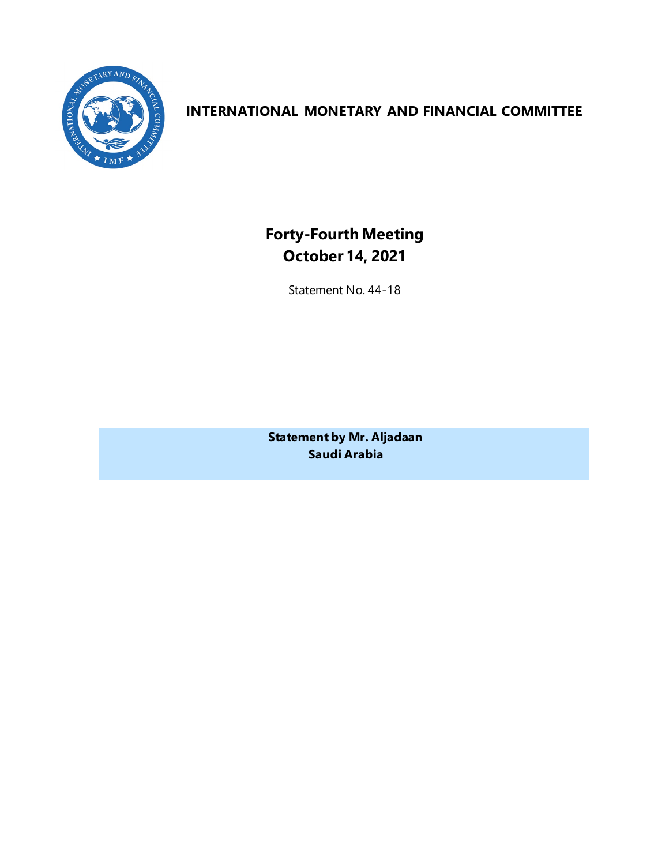

# **INTERNATIONAL MONETARY AND FINANCIAL COMMITTEE**

**Forty-Fourth Meeting October 14, 2021**

Statement No. 44-18

**Statement by Mr. Aljadaan Saudi Arabia**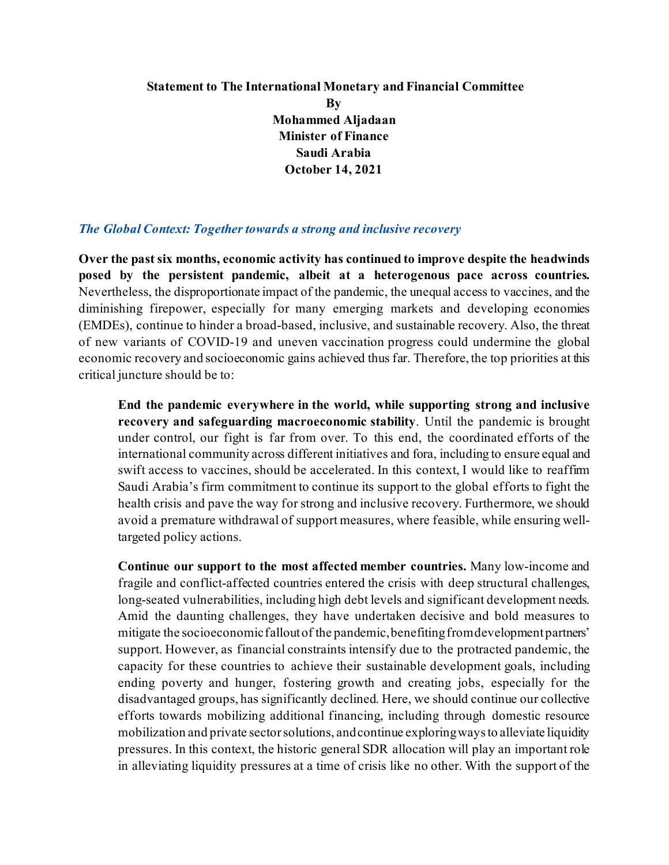## **Statement to The International Monetary and Financial Committee By Mohammed Aljadaan Minister of Finance Saudi Arabia October 14, 2021**

#### *The Global Context: Together towards a strong and inclusive recovery*

**Over the past six months, economic activity has continued to improve despite the headwinds posed by the persistent pandemic, albeit at a heterogenous pace across countries.**  Nevertheless, the disproportionate impact of the pandemic, the unequal access to vaccines, and the diminishing firepower, especially for many emerging markets and developing economies (EMDEs), continue to hinder a broad-based, inclusive, and sustainable recovery. Also, the threat of new variants of COVID-19 and uneven vaccination progress could undermine the global economic recovery and socioeconomic gains achieved thus far. Therefore, the top priorities at this critical juncture should be to:

**End the pandemic everywhere in the world, while supporting strong and inclusive recovery and safeguarding macroeconomic stability**. Until the pandemic is brought under control, our fight is far from over. To this end, the coordinated efforts of the international community across different initiatives and fora, including to ensure equal and swift access to vaccines, should be accelerated. In this context, I would like to reaffirm Saudi Arabia's firm commitment to continue its support to the global efforts to fight the health crisis and pave the way for strong and inclusive recovery. Furthermore, we should avoid a premature withdrawal of support measures, where feasible, while ensuring welltargeted policy actions.

**Continue our support to the most affected member countries.** Many low-income and fragile and conflict-affected countries entered the crisis with deep structural challenges, long-seated vulnerabilities, including high debt levels and significant development needs. Amid the daunting challenges, they have undertaken decisive and bold measures to mitigate the socioeconomic falloutof the pandemic, benefiting from development partners' support. However, as financial constraints intensify due to the protracted pandemic, the capacity for these countries to achieve their sustainable development goals, including ending poverty and hunger, fostering growth and creating jobs, especially for the disadvantaged groups, has significantly declined. Here, we should continue our collective efforts towards mobilizing additional financing, including through domestic resource mobilization and private sector solutions, and continue exploring ways to alleviate liquidity pressures. In this context, the historic general SDR allocation will play an important role in alleviating liquidity pressures at a time of crisis like no other. With the support of the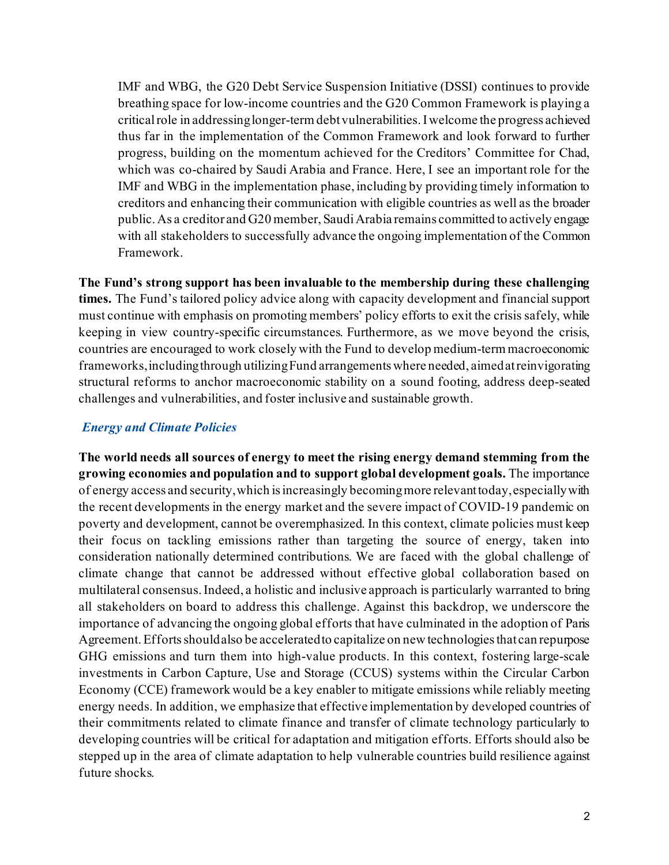IMF and WBG, the G20 Debt Service Suspension Initiative (DSSI) continues to provide breathing space for low-income countries and the G20 Common Framework is playing a critical role in addressinglonger-term debt vulnerabilities.I welcome the progress achieved thus far in the implementation of the Common Framework and look forward to further progress, building on the momentum achieved for the Creditors' Committee for Chad, which was co-chaired by Saudi Arabia and France. Here, I see an important role for the IMF and WBG in the implementation phase, including by providing timely information to creditors and enhancing their communication with eligible countries as well as the broader public. As a creditor and G20 member, Saudi Arabia remains committed to actively engage with all stakeholders to successfully advance the ongoing implementation of the Common Framework.

**The Fund's strong support has been invaluable to the membership during these challenging times.** The Fund's tailored policy advice along with capacity development and financialsupport must continue with emphasis on promoting members' policy efforts to exit the crisis safely, while keeping in view country-specific circumstances. Furthermore, as we move beyond the crisis, countries are encouraged to work closely with the Fund to develop medium-term macroeconomic frameworks, including through utilizing Fund arrangements where needed, aimed at reinvigorating structural reforms to anchor macroeconomic stability on a sound footing, address deep-seated challenges and vulnerabilities, and foster inclusive and sustainable growth.

## *Energy and Climate Policies*

**The world needs all sources of energy to meet the rising energy demand stemming from the growing economies and population and to support global development goals.** The importance of energy access and security, which is increasingly becoming more relevant today, especially with the recent developments in the energy market and the severe impact of COVID-19 pandemic on poverty and development, cannot be overemphasized. In this context, climate policies must keep their focus on tackling emissions rather than targeting the source of energy, taken into consideration nationally determined contributions. We are faced with the global challenge of climate change that cannot be addressed without effective global collaboration based on multilateral consensus. Indeed, a holistic and inclusive approach is particularly warranted to bring all stakeholders on board to address this challenge. Against this backdrop, we underscore the importance of advancing the ongoing global efforts that have culminated in the adoption of Paris Agreement.Efforts should also be accelerated to capitalize on new technologies that can repurpose GHG emissions and turn them into high-value products. In this context, fostering large-scale investments in Carbon Capture, Use and Storage (CCUS) systems within the Circular Carbon Economy (CCE) framework would be a key enabler to mitigate emissions while reliably meeting energy needs. In addition, we emphasize that effective implementation by developed countries of their commitments related to climate finance and transfer of climate technology particularly to developing countries will be critical for adaptation and mitigation efforts. Efforts should also be stepped up in the area of climate adaptation to help vulnerable countries build resilience against future shocks.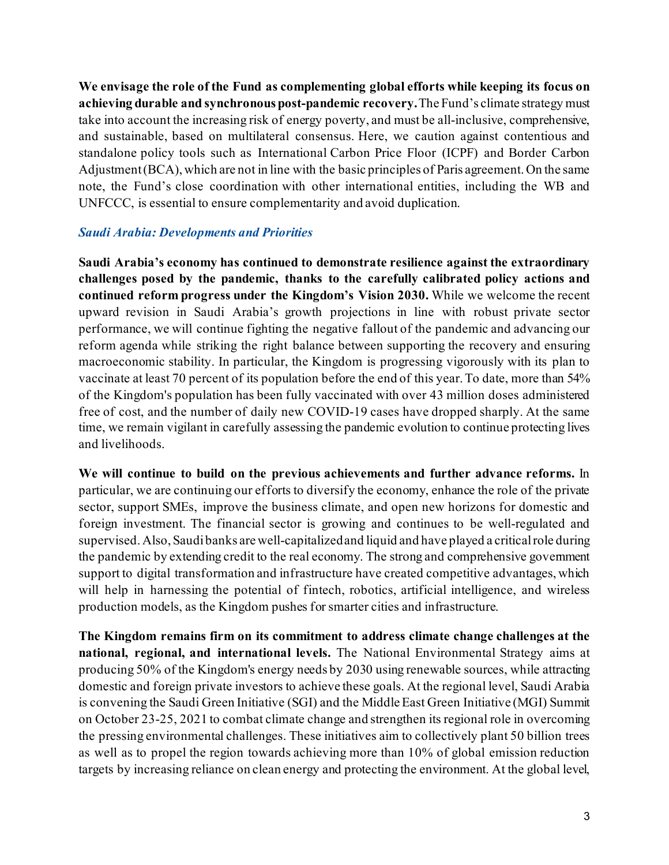**We envisage the role of the Fund as complementing global efforts while keeping its focus on achieving durable and synchronous post-pandemic recovery.**The Fund's climate strategy must take into account the increasing risk of energy poverty, and must be all-inclusive, comprehensive, and sustainable, based on multilateral consensus. Here, we caution against contentious and standalone policy tools such as International Carbon Price Floor (ICPF) and Border Carbon Adjustment(BCA), which are not in line with the basic principles of Paris agreement. On the same note, the Fund's close coordination with other international entities, including the WB and UNFCCC, is essential to ensure complementarity and avoid duplication.

### *Saudi Arabia: Developments and Priorities*

**Saudi Arabia's economy has continued to demonstrate resilience against the extraordinary challenges posed by the pandemic, thanks to the carefully calibrated policy actions and continued reform progress under the Kingdom's Vision 2030.** While we welcome the recent upward revision in Saudi Arabia's growth projections in line with robust private sector performance, we will continue fighting the negative fallout of the pandemic and advancing our reform agenda while striking the right balance between supporting the recovery and ensuring macroeconomic stability. In particular, the Kingdom is progressing vigorously with its plan to vaccinate at least 70 percent of its population before the end of this year.To date, more than 54% of the Kingdom's population has been fully vaccinated with over 43 million doses administered free of cost, and the number of daily new COVID-19 cases have dropped sharply. At the same time, we remain vigilant in carefully assessing the pandemic evolution to continue protecting lives and livelihoods.

**We will continue to build on the previous achievements and further advance reforms.** In particular, we are continuing our efforts to diversify the economy, enhance the role of the private sector, support SMEs, improve the business climate, and open new horizons for domestic and foreign investment. The financial sector is growing and continues to be well-regulated and supervised. Also, Saudi banks are well-capitalized and liquid and have played a critical role during the pandemic by extending credit to the real economy. The strong and comprehensive government support to digital transformation and infrastructure have created competitive advantages, which will help in harnessing the potential of fintech, robotics, artificial intelligence, and wireless production models, as the Kingdom pushes for smarter cities and infrastructure.

**The Kingdom remains firm on its commitment to address climate change challenges at the national, regional, and international levels.** The National Environmental Strategy aims at producing 50% of the Kingdom's energy needs by 2030 using renewable sources, while attracting domestic and foreign private investors to achieve these goals. At the regional level, Saudi Arabia is convening the Saudi Green Initiative (SGI) and the Middle East Green Initiative (MGI) Summit on October 23-25, 2021 to combat climate change and strengthen its regional role in overcoming the pressing environmental challenges. These initiatives aim to collectively plant 50 billion trees as well as to propel the region towards achieving more than 10% of global emission reduction targets by increasing reliance on clean energy and protecting the environment. At the global level,